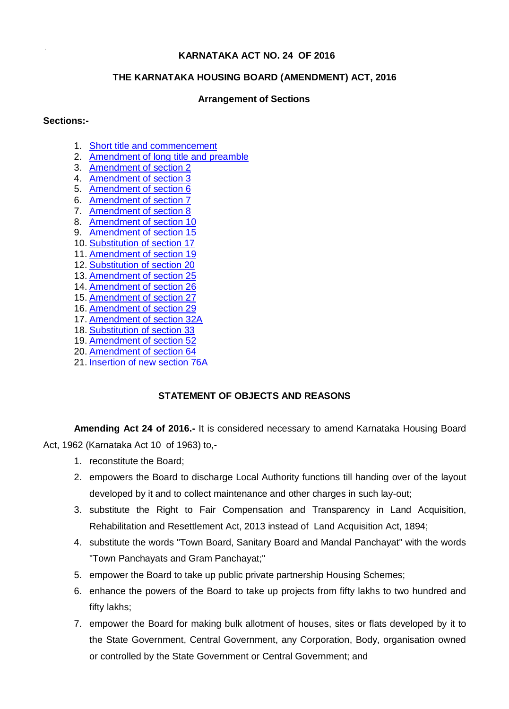## **KARNATAKA ACT NO. 24 OF 2016**

## **THE KARNATAKA HOUSING BOARD (AMENDMENT) ACT, 2016**

## **Arrangement of Sections**

#### **Sections:-**

- 1. Short title and commencement
- 2. Amendment of long title and preamble
- 3. Amendment of section 2
- 4. Amendment of section 3
- 5. Amendment of section 6
- 6. Amendment of section 7
- 7. Amendment of section 8
- 8. Amendment of section 10
- 9. Amendment of section 15
- 10. Substitution of section 17
- 11. Amendment of section 19
- 12. Substitution of section 20
- 13. Amendment of section 25
- 14. Amendment of section 26
- 15. Amendment of section 27
- 16. Amendment of section 29
- 17. Amendment of section 32A
- 18. Substitution of section 33
- 19. Amendment of section 52
- 20. Amendment of section 64
- 21. Insertion of new section 76A

# **STATEMENT OF OBJECTS AND REASONS**

**Amending Act 24 of 2016.-** It is considered necessary to amend Karnataka Housing Board Act, 1962 (Karnataka Act 10 of 1963) to,-

- 1. reconstitute the Board;
- 2. empowers the Board to discharge Local Authority functions till handing over of the layout developed by it and to collect maintenance and other charges in such lay-out;
- 3. substitute the Right to Fair Compensation and Transparency in Land Acquisition, Rehabilitation and Resettlement Act, 2013 instead of Land Acquisition Act, 1894;
- 4. substitute the words "Town Board, Sanitary Board and Mandal Panchayat" with the words "Town Panchayats and Gram Panchayat;"
- 5. empower the Board to take up public private partnership Housing Schemes;
- 6. enhance the powers of the Board to take up projects from fifty lakhs to two hundred and fifty lakhs;
- 7. empower the Board for making bulk allotment of houses, sites or flats developed by it to the State Government, Central Government, any Corporation, Body, organisation owned or controlled by the State Government or Central Government; and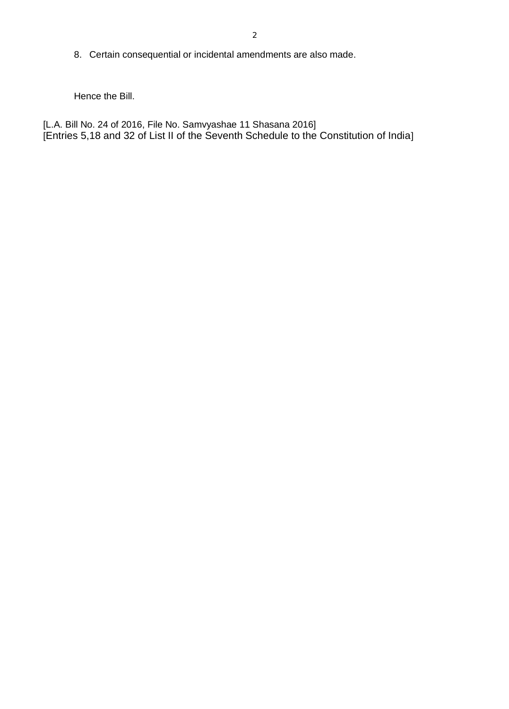8. Certain consequential or incidental amendments are also made.

Hence the Bill.

[L.A. Bill No. 24 of 2016, File No. Samvyashae 11 Shasana 2016] [Entries 5,18 and 32 of List II of the Seventh Schedule to the Constitution of India]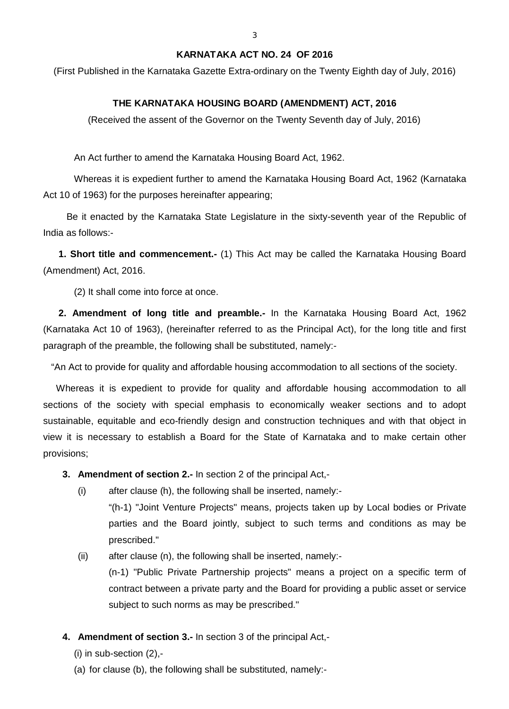# **KARNATAKA ACT NO. 24 OF 2016**

(First Published in the Karnataka Gazette Extra-ordinary on the Twenty Eighth day of July, 2016)

# **THE KARNATAKA HOUSING BOARD (AMENDMENT) ACT, 2016**

(Received the assent of the Governor on the Twenty Seventh day of July, 2016)

An Act further to amend the Karnataka Housing Board Act, 1962.

Whereas it is expedient further to amend the Karnataka Housing Board Act, 1962 (Karnataka Act 10 of 1963) for the purposes hereinafter appearing;

 Be it enacted by the Karnataka State Legislature in the sixty-seventh year of the Republic of India as follows:-

**1. Short title and commencement.-** (1) This Act may be called the Karnataka Housing Board (Amendment) Act, 2016.

(2) It shall come into force at once.

**2. Amendment of long title and preamble.-** In the Karnataka Housing Board Act, 1962 (Karnataka Act 10 of 1963), (hereinafter referred to as the Principal Act), for the long title and first paragraph of the preamble, the following shall be substituted, namely:-

"An Act to provide for quality and affordable housing accommodation to all sections of the society.

 Whereas it is expedient to provide for quality and affordable housing accommodation to all sections of the society with special emphasis to economically weaker sections and to adopt sustainable, equitable and eco-friendly design and construction techniques and with that object in view it is necessary to establish a Board for the State of Karnataka and to make certain other provisions;

- **3. Amendment of section 2.-** In section 2 of the principal Act,-
	- (i) after clause (h), the following shall be inserted, namely:-
		- "(h-1) "Joint Venture Projects" means, projects taken up by Local bodies or Private parties and the Board jointly, subject to such terms and conditions as may be prescribed."
	- (ii) after clause (n), the following shall be inserted, namely:-

(n-1) "Public Private Partnership projects" means a project on a specific term of contract between a private party and the Board for providing a public asset or service subject to such norms as may be prescribed."

- **4. Amendment of section 3.-** In section 3 of the principal Act,-
	- $(i)$  in sub-section  $(2), -$
	- (a) for clause (b), the following shall be substituted, namely:-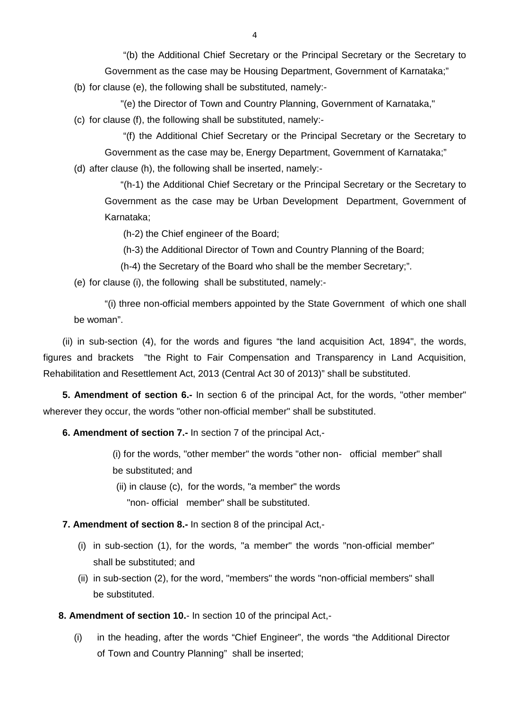"(b) the Additional Chief Secretary or the Principal Secretary or the Secretary to Government as the case may be Housing Department, Government of Karnataka;"

(b) for clause (e), the following shall be substituted, namely:-

"(e) the Director of Town and Country Planning, Government of Karnataka,"

(c) for clause (f), the following shall be substituted, namely:-

 "(f) the Additional Chief Secretary or the Principal Secretary or the Secretary to Government as the case may be, Energy Department, Government of Karnataka;"

(d) after clause (h), the following shall be inserted, namely:-

 "(h-1) the Additional Chief Secretary or the Principal Secretary or the Secretary to Government as the case may be Urban Development Department, Government of Karnataka;

(h-2) the Chief engineer of the Board;

(h-3) the Additional Director of Town and Country Planning of the Board;

(h-4) the Secretary of the Board who shall be the member Secretary;".

(e) for clause (i), the following shall be substituted, namely:-

"(i) three non-official members appointed by the State Government of which one shall be woman".

(ii) in sub-section (4), for the words and figures "the land acquisition Act, 1894", the words, figures and brackets "the Right to Fair Compensation and Transparency in Land Acquisition, Rehabilitation and Resettlement Act, 2013 (Central Act 30 of 2013)" shall be substituted.

**5. Amendment of section 6.-** In section 6 of the principal Act, for the words, "other member" wherever they occur, the words "other non-official member" shall be substituted.

**6. Amendment of section 7.-** In section 7 of the principal Act,-

(i) for the words, "other member" the words "other non- official member" shall be substituted; and

(ii) in clause (c), for the words, "a member" the words "non- official member" shall be substituted.

## **7. Amendment of section 8.-** In section 8 of the principal Act,-

- (i) in sub-section (1), for the words, "a member" the words "non-official member" shall be substituted; and
- (ii) in sub-section (2), for the word, "members" the words "non-official members" shall be substituted.

**8. Amendment of section 10.**- In section 10 of the principal Act,-

(i) in the heading, after the words "Chief Engineer", the words "the Additional Director of Town and Country Planning" shall be inserted;

4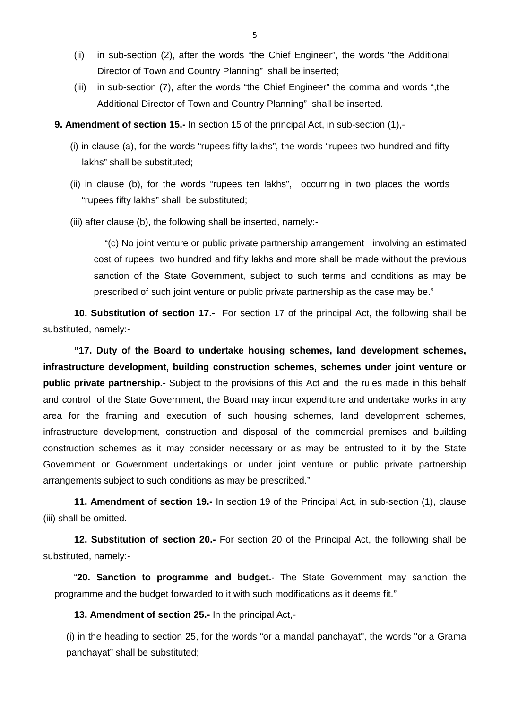- (ii) in sub-section (2), after the words "the Chief Engineer", the words "the Additional Director of Town and Country Planning" shall be inserted;
- (iii) in sub-section (7), after the words "the Chief Engineer" the comma and words ",the Additional Director of Town and Country Planning" shall be inserted.
- **9. Amendment of section 15.-** In section 15 of the principal Act, in sub-section (1),-
	- (i) in clause (a), for the words "rupees fifty lakhs", the words "rupees two hundred and fifty lakhs" shall be substituted;
	- (ii) in clause (b), for the words "rupees ten lakhs", occurring in two places the words "rupees fifty lakhs" shall be substituted;
	- (iii) after clause (b), the following shall be inserted, namely:-

"(c) No joint venture or public private partnership arrangement involving an estimated cost of rupees two hundred and fifty lakhs and more shall be made without the previous sanction of the State Government, subject to such terms and conditions as may be prescribed of such joint venture or public private partnership as the case may be."

**10. Substitution of section 17.-** For section 17 of the principal Act, the following shall be substituted, namely:-

**"17. Duty of the Board to undertake housing schemes, land development schemes, infrastructure development, building construction schemes, schemes under joint venture or public private partnership.-** Subject to the provisions of this Act and the rules made in this behalf and control of the State Government, the Board may incur expenditure and undertake works in any area for the framing and execution of such housing schemes, land development schemes, infrastructure development, construction and disposal of the commercial premises and building construction schemes as it may consider necessary or as may be entrusted to it by the State Government or Government undertakings or under joint venture or public private partnership arrangements subject to such conditions as may be prescribed."

**11. Amendment of section 19.-** In section 19 of the Principal Act, in sub-section (1), clause (iii) shall be omitted.

**12. Substitution of section 20.-** For section 20 of the Principal Act, the following shall be substituted, namely:-

"**20. Sanction to programme and budget.**- The State Government may sanction the programme and the budget forwarded to it with such modifications as it deems fit."

**13. Amendment of section 25.-** In the principal Act,-

(i) in the heading to section 25, for the words "or a mandal panchayat", the words "or a Grama panchayat" shall be substituted;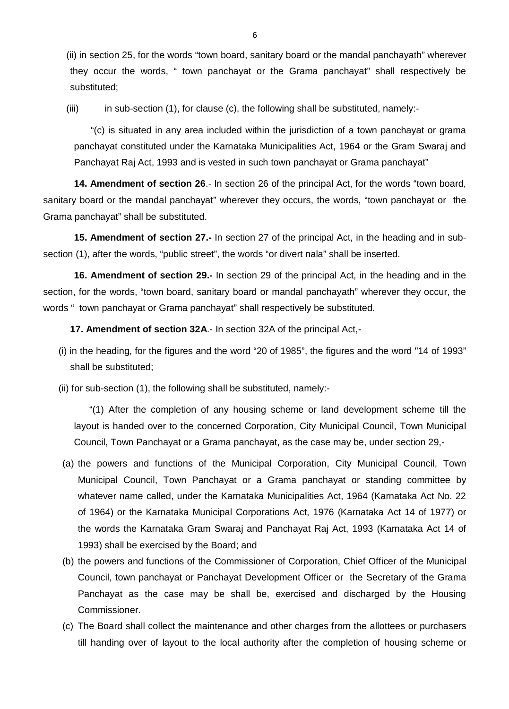(ii) in section 25, for the words "town board, sanitary board or the mandal panchayath" wherever they occur the words, " town panchayat or the Grama panchayat" shall respectively be substituted;

 $(iii)$  in sub-section (1), for clause (c), the following shall be substituted, namely:-

 "(c) is situated in any area included within the jurisdiction of a town panchayat or grama panchayat constituted under the Karnataka Municipalities Act, 1964 or the Gram Swaraj and Panchayat Raj Act, 1993 and is vested in such town panchayat or Grama panchayat"

**14. Amendment of section 26**.- In section 26 of the principal Act, for the words "town board, sanitary board or the mandal panchayat" wherever they occurs, the words, "town panchayat or the Grama panchayat" shall be substituted.

**15. Amendment of section 27.-** In section 27 of the principal Act, in the heading and in subsection (1), after the words, "public street", the words "or divert nala" shall be inserted.

**16. Amendment of section 29.-** In section 29 of the principal Act, in the heading and in the section, for the words, "town board, sanitary board or mandal panchayath" wherever they occur, the words " town panchayat or Grama panchayat" shall respectively be substituted.

**17. Amendment of section 32A**.- In section 32A of the principal Act,-

- (i) in the heading, for the figures and the word "20 of 1985", the figures and the word "14 of 1993" shall be substituted;
- (ii) for sub-section (1), the following shall be substituted, namely:-

"(1) After the completion of any housing scheme or land development scheme till the layout is handed over to the concerned Corporation, City Municipal Council, Town Municipal Council, Town Panchayat or a Grama panchayat, as the case may be, under section 29,-

- (a) the powers and functions of the Municipal Corporation, City Municipal Council, Town Municipal Council, Town Panchayat or a Grama panchayat or standing committee by whatever name called, under the Karnataka Municipalities Act, 1964 (Karnataka Act No. 22 of 1964) or the Karnataka Municipal Corporations Act, 1976 (Karnataka Act 14 of 1977) or the words the Karnataka Gram Swaraj and Panchayat Raj Act, 1993 (Karnataka Act 14 of 1993) shall be exercised by the Board; and
- (b) the powers and functions of the Commissioner of Corporation, Chief Officer of the Municipal Council, town panchayat or Panchayat Development Officer or the Secretary of the Grama Panchayat as the case may be shall be, exercised and discharged by the Housing Commissioner.
- (c) The Board shall collect the maintenance and other charges from the allottees or purchasers till handing over of layout to the local authority after the completion of housing scheme or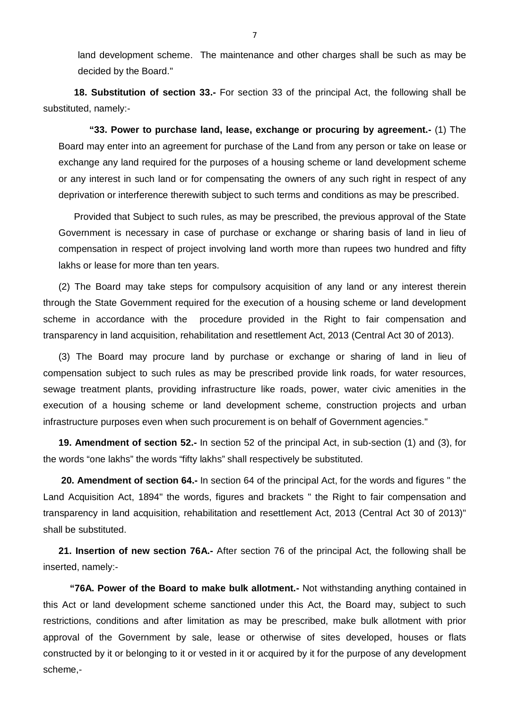land development scheme. The maintenance and other charges shall be such as may be decided by the Board."

**18. Substitution of section 33.-** For section 33 of the principal Act, the following shall be substituted, namely:-

**"33. Power to purchase land, lease, exchange or procuring by agreement.-** (1) The Board may enter into an agreement for purchase of the Land from any person or take on lease or exchange any land required for the purposes of a housing scheme or land development scheme or any interest in such land or for compensating the owners of any such right in respect of any deprivation or interference therewith subject to such terms and conditions as may be prescribed.

Provided that Subject to such rules, as may be prescribed, the previous approval of the State Government is necessary in case of purchase or exchange or sharing basis of land in lieu of compensation in respect of project involving land worth more than rupees two hundred and fifty lakhs or lease for more than ten years.

(2) The Board may take steps for compulsory acquisition of any land or any interest therein through the State Government required for the execution of a housing scheme or land development scheme in accordance with the procedure provided in the Right to fair compensation and transparency in land acquisition, rehabilitation and resettlement Act, 2013 (Central Act 30 of 2013).

(3) The Board may procure land by purchase or exchange or sharing of land in lieu of compensation subject to such rules as may be prescribed provide link roads, for water resources, sewage treatment plants, providing infrastructure like roads, power, water civic amenities in the execution of a housing scheme or land development scheme, construction projects and urban infrastructure purposes even when such procurement is on behalf of Government agencies."

**19. Amendment of section 52.-** In section 52 of the principal Act, in sub-section (1) and (3), for the words "one lakhs" the words "fifty lakhs" shall respectively be substituted.

**20. Amendment of section 64.-** In section 64 of the principal Act, for the words and figures " the Land Acquisition Act, 1894" the words, figures and brackets " the Right to fair compensation and transparency in land acquisition, rehabilitation and resettlement Act, 2013 (Central Act 30 of 2013)" shall be substituted.

**21. Insertion of new section 76A.-** After section 76 of the principal Act, the following shall be inserted, namely:-

**"76A. Power of the Board to make bulk allotment.-** Not withstanding anything contained in this Act or land development scheme sanctioned under this Act, the Board may, subject to such restrictions, conditions and after limitation as may be prescribed, make bulk allotment with prior approval of the Government by sale, lease or otherwise of sites developed, houses or flats constructed by it or belonging to it or vested in it or acquired by it for the purpose of any development scheme,-

7